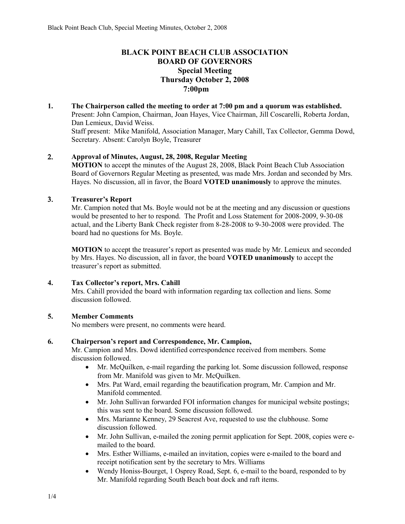## **BLACK POINT BEACH CLUB ASSOCIATION BOARD OF GOVERNORS Special Meeting Thursday October 2, 2008 7:00pm**

**1. The Chairperson called the meeting to order at 7:00 pm and a quorum was established.**  Present: John Campion, Chairman, Joan Hayes, Vice Chairman, Jill Coscarelli, Roberta Jordan, Dan Lemieux, David Weiss. Staff present: Mike Manifold, Association Manager, Mary Cahill, Tax Collector, Gemma Dowd, Secretary. Absent: Carolyn Boyle, Treasurer

## 2. **Approval of Minutes, August, 28, 2008, Regular Meeting**

**MOTION** to accept the minutes of the August 28, 2008, Black Point Beach Club Association Board of Governors Regular Meeting as presented, was made Mrs. Jordan and seconded by Mrs. Hayes. No discussion, all in favor, the Board **VOTED unanimously** to approve the minutes.

### 3. **Treasurer's Report**

Mr. Campion noted that Ms. Boyle would not be at the meeting and any discussion or questions would be presented to her to respond. The Profit and Loss Statement for 2008-2009, 9-30-08 actual, and the Liberty Bank Check register from 8-28-2008 to 9-30-2008 were provided. The board had no questions for Ms. Boyle.

**MOTION** to accept the treasurer's report as presented was made by Mr. Lemieux and seconded by Mrs. Hayes. No discussion, all in favor, the board **VOTED unanimously** to accept the treasurer's report as submitted.

### **4. Tax Collector's report, Mrs. Cahill**

Mrs. Cahill provided the board with information regarding tax collection and liens. Some discussion followed.

### **5. Member Comments**

No members were present, no comments were heard.

### **6. Chairperson's report and Correspondence, Mr. Campion,**

Mr. Campion and Mrs. Dowd identified correspondence received from members. Some discussion followed.

- Mr. McQuilken, e-mail regarding the parking lot. Some discussion followed, response from Mr. Manifold was given to Mr. McQuilken.
- Mrs. Pat Ward, email regarding the beautification program, Mr. Campion and Mr. Manifold commented.
- Mr. John Sullivan forwarded FOI information changes for municipal website postings; this was sent to the board. Some discussion followed.
- Mrs. Marianne Kenney, 29 Seacrest Ave, requested to use the clubhouse. Some discussion followed.
- Mr. John Sullivan, e-mailed the zoning permit application for Sept. 2008, copies were emailed to the board.
- Mrs. Esther Williams, e-mailed an invitation, copies were e-mailed to the board and receipt notification sent by the secretary to Mrs. Williams
- Wendy Honiss-Bourget, 1 Osprey Road, Sept. 6, e-mail to the board, responded to by Mr. Manifold regarding South Beach boat dock and raft items.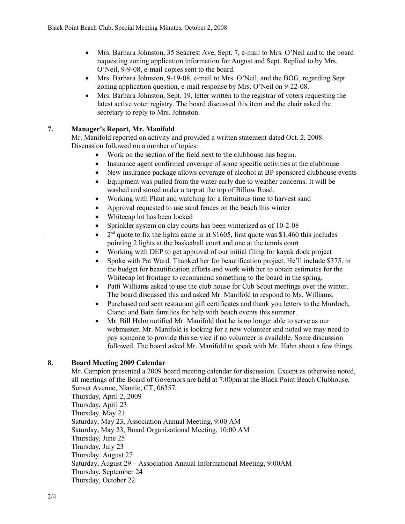- Mrs. Barbara Johnston, 35 Seacrest Ave, Sept. 7, e-mail to Mrs. O'Neil and to the board requesting zoning application information for August and Sept. Replied to by Mrs. O'Neil, 9-9-08, e-mail copies sent to the board.
- Mrs. Barbara Johnston, 9-19-08, e-mail to Mrs. O'Neil, and the BOG, regarding Sept. zoning application question, e-mail response by Mrs. O'Neil on 9-22-08.
- Mrs. Barbara Johnston, Sept. 19, letter written to the registrar of voters requesting the latest active voter registry. The board discussed this item and the chair asked the secretary to reply to Mrs. Johnston.

# **7. Manager's Report, Mr. Manifold**

Mr. Manifold reported on activity and provided a written statement dated Oct. 2, 2008. Discussion followed on a number of topics:

- Work on the section of the field next to the clubhouse has begun.
- Insurance agent confirmed coverage of some specific activities at the clubhouse
- New insurance package allows coverage of alcohol at BP sponsored clubhouse events
- Equipment was pulled from the water early due to weather concerns. It will be washed and stored under a tarp at the top of Billow Road.
- Working with Plaut and watching for a fortuitous time to harvest sand
- Approval requested to use sand fences on the beach this winter
- Whitecap lot has been locked
- Sprinkler system on clay courts has been winterized as of 10-2-08
- $\bullet$  $2<sup>nd</sup>$  quote to fix the lights came in at \$1605, first quote was \$1,460 this includes pointing 2 lights at the basketball court and one at the tennis court
- Working with DEP to get approval of our initial filing for kayak dock project
- Spoke with Pat Ward. Thanked her for beautification project. He'll include \$375. in the budget for beautification efforts and work with her to obtain estimates for the Whitecap lot frontage to recommend something to the board in the spring.
- Patti Williams asked to use the club house for Cub Scout meetings over the winter. The board discussed this and asked Mr. Manifold to respond to Ms. Williams.
- Purchased and sent restaurant gift certificates and thank you letters to the Murdoch, Cianci and Bain families for help with beach events this summer.
- Mr. Bill Hahn notified Mr. Manifold that he is no longer able to serve as our webmaster. Mr. Manifold is looking for a new volunteer and noted we may need to pay someone to provide this service if no volunteer is available. Some discussion followed. The board asked Mr. Manifold to speak with Mr. Hahn about a few things.

# **8. Board Meeting 2009 Calendar**

Mr. Campion presented a 2009 board meeting calendar for discussion. Except as otherwise noted, all meetings of the Board of Governors are held at 7:00pm at the Black Point Beach Clubhouse, Sunset Avenue, Niantic, CT, 06357.

Thursday, April 2, 2009 Thursday, April 23 Thursday, May 21 Saturday, May 23, Association Annual Meeting, 9:00 AM Saturday, May 23, Board Organizational Meeting, 10:00 AM Thursday, June 25 Thursday, July 23 Thursday, August 27 Saturday, August 29 – Association Annual Informational Meeting, 9:00AM Thursday, September 24 Thursday, October 22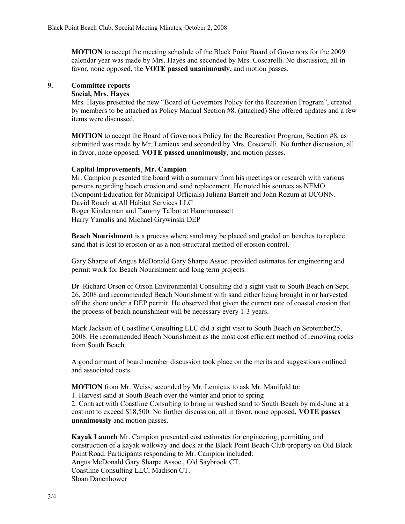**MOTION** to accept the meeting schedule of the Black Point Board of Governors for the 2009 calendar year was made by Mrs. Hayes and seconded by Mrs. Coscarelli. No discussion, all in favor, none opposed, the **VOTE passed unanimously,** and motion passes.

# **9. Committee reports**

## **Social, Mrs. Hayes**

Mrs. Hayes presented the new "Board of Governors Policy for the Recreation Program", created by members to be attached as Policy Manual Section #8. (attached) She offered updates and a few items were discussed.

**MOTION** to accept the Board of Governors Policy for the Recreation Program, Section #8, as submitted was made by Mr. Lemieux and seconded by Mrs. Coscarelli. No further discussion, all in favor, none opposed, **VOTE passed unanimously**, and motion passes.

### **Capital improvements**, **Mr. Campion**

Mr. Campion presented the board with a summary from his meetings or research with various persons regarding beach erosion and sand replacement. He noted his sources as NEMO (Nonpoint Education for Municipal Officials) Juliana Barrett and John Rozum at UCONN. David Roach at All Habitat Services LLC Roger Kinderman and Tammy Talbot at Hammonassett Harry Yamalis and Michael Grywinski DEP

**Beach Nourishment** is a process where sand may be placed and graded on beaches to replace sand that is lost to erosion or as a non-structural method of erosion control.

Gary Sharpe of Angus McDonald Gary Sharpe Assoc. provided estimates for engineering and permit work for Beach Nourishment and long term projects.

Dr. Richard Orson of Orson Environmental Consulting did a sight visit to South Beach on Sept. 26, 2008 and recommended Beach Nourishment with sand either being brought in or harvested off the shore under a DEP permit. He observed that given the current rate of coastal erosion that the process of beach nourishment will be necessary every 1-3 years.

Mark Jackson of Coastline Consulting LLC did a sight visit to South Beach on September25, 2008. He recommended Beach Nourishment as the most cost efficient method of removing rocks from South Beach.

A good amount of board member discussion took place on the merits and suggestions outlined and associated costs.

**MOTION** from Mr. Weiss, seconded by Mr. Lemieux to ask Mr. Manifold to:

1. Harvest sand at South Beach over the winter and prior to spring

2. Contract with Coastline Consulting to bring in washed sand to South Beach by mid-June at a cost not to exceed \$18,500. No further discussion, all in favor, none opposed, **VOTE passes unanimously** and motion passes.

**Kayak Launch** Mr. Campion presented cost estimates for engineering, permitting and construction of a kayak walkway and dock at the Black Point Beach Club property on Old Black Point Road. Participants responding to Mr. Campion included: Angus McDonald Gary Sharpe Assoc., Old Saybrook CT. Coastline Consulting LLC, Madison CT. Sloan Danenhower